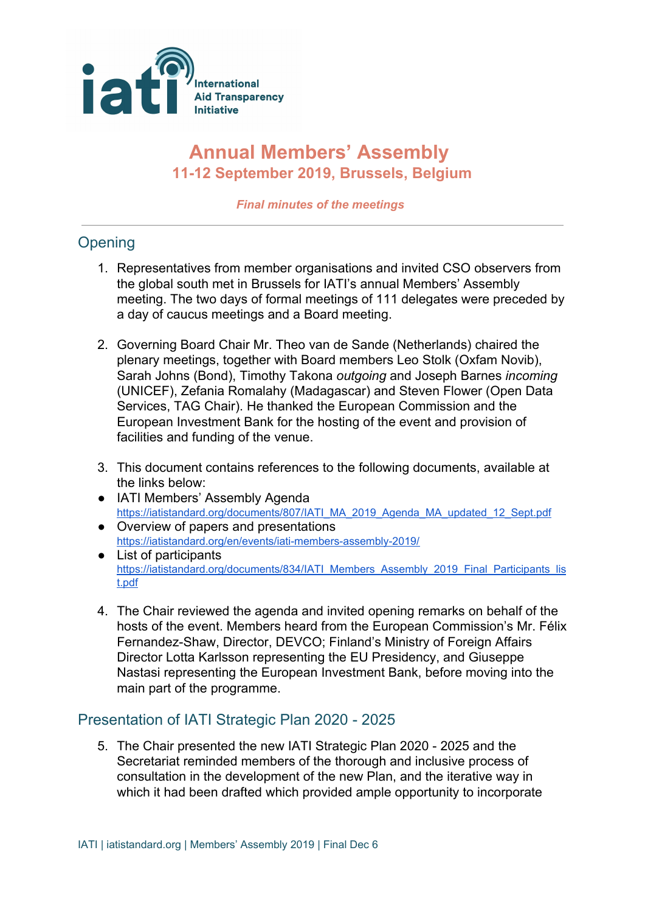

## **Annual Members' Assembly 11-12 September 2019, Brussels, Belgium**

*Final minutes of the meetings*

## **Opening**

- 1. Representatives from member organisations and invited CSO observers from the global south met in Brussels for IATI's annual Members' Assembly meeting. The two days of formal meetings of 111 delegates were preceded by a day of caucus meetings and a Board meeting.
- 2. Governing Board Chair Mr. Theo van de Sande (Netherlands) chaired the plenary meetings, together with Board members Leo Stolk (Oxfam Novib), Sarah Johns (Bond), Timothy Takona *outgoing* and Joseph Barnes *incoming* (UNICEF), Zefania Romalahy (Madagascar) and Steven Flower (Open Data Services, TAG Chair). He thanked the European Commission and the European Investment Bank for the hosting of the event and provision of facilities and funding of the venue.
- 3. This document contains references to the following documents, available at the links below:
- IATI Members' Assembly Agenda [https://iatistandard.org/documents/807/IATI\\_MA\\_2019\\_Agenda\\_MA\\_updated\\_12\\_Sept.pdf](https://iatistandard.org/documents/807/IATI_MA_2019_Agenda_MA_updated_12_Sept.pdf)
- Overview of papers and presentations <https://iatistandard.org/en/events/iati-members-assembly-2019/>
- List of participants [https://iatistandard.org/documents/834/IATI\\_Members\\_Assembly\\_2019\\_Final\\_Participants\\_lis](https://iatistandard.org/documents/834/IATI_Members_Assembly_2019_Final_Participants_list.pdf) [t.pdf](https://iatistandard.org/documents/834/IATI_Members_Assembly_2019_Final_Participants_list.pdf)
- 4. The Chair reviewed the agenda and invited opening remarks on behalf of the hosts of the event. Members heard from the European Commission's Mr. Félix Fernandez-Shaw, Director, DEVCO; Finland's Ministry of Foreign Affairs Director Lotta Karlsson representing the EU Presidency, and Giuseppe Nastasi representing the European Investment Bank, before moving into the main part of the programme.

## Presentation of IATI Strategic Plan 2020 - 2025

5. The Chair presented the new IATI Strategic Plan 2020 - 2025 and the Secretariat reminded members of the thorough and inclusive process of consultation in the development of the new Plan, and the iterative way in which it had been drafted which provided ample opportunity to incorporate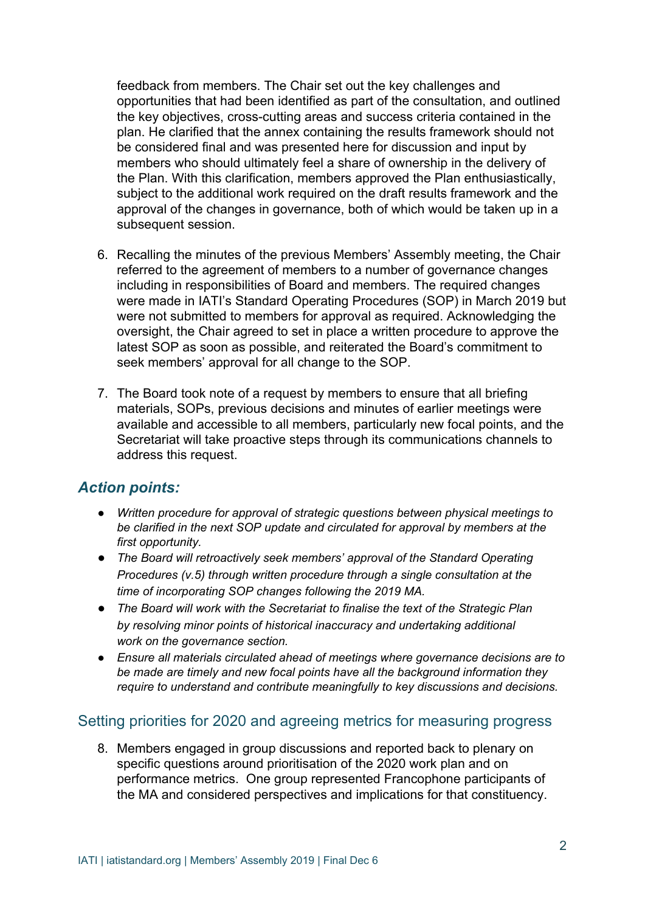feedback from members. The Chair set out the key challenges and opportunities that had been identified as part of the consultation, and outlined the key objectives, cross-cutting areas and success criteria contained in the plan. He clarified that the annex containing the results framework should not be considered final and was presented here for discussion and input by members who should ultimately feel a share of ownership in the delivery of the Plan. With this clarification, members approved the Plan enthusiastically, subject to the additional work required on the draft results framework and the approval of the changes in governance, both of which would be taken up in a subsequent session.

- 6. Recalling the minutes of the previous Members' Assembly meeting, the Chair referred to the agreement of members to a number of governance changes including in responsibilities of Board and members. The required changes were made in IATI's Standard Operating Procedures (SOP) in March 2019 but were not submitted to members for approval as required. Acknowledging the oversight, the Chair agreed to set in place a written procedure to approve the latest SOP as soon as possible, and reiterated the Board's commitment to seek members' approval for all change to the SOP.
- 7. The Board took note of a request by members to ensure that all briefing materials, SOPs, previous decisions and minutes of earlier meetings were available and accessible to all members, particularly new focal points, and the Secretariat will take proactive steps through its communications channels to address this request.

#### *Action points:*

- *● Written procedure for approval of strategic questions between physical meetings to be clarified in the next SOP update and circulated for approval by members at the first opportunity.*
- *● The Board will retroactively seek members' approval of the Standard Operating Procedures (v.5) through written procedure through a single consultation at the time of incorporating SOP changes following the 2019 MA.*
- *● The Board will work with the Secretariat to finalise the text of the Strategic Plan by resolving minor points of historical inaccuracy and undertaking additional work on the governance section.*
- *● Ensure all materials circulated ahead of meetings where governance decisions are to be made are timely and new focal points have all the background information they require to understand and contribute meaningfully to key discussions and decisions.*

#### Setting priorities for 2020 and agreeing metrics for measuring progress

8. Members engaged in group discussions and reported back to plenary on specific questions around prioritisation of the 2020 work plan and on performance metrics. One group represented Francophone participants of the MA and considered perspectives and implications for that constituency.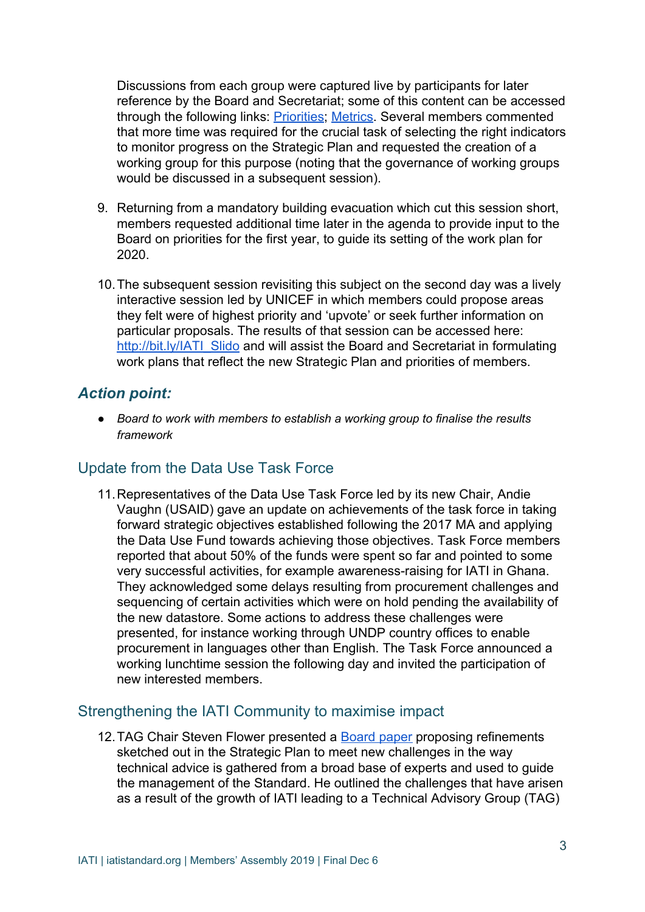Discussions from each group were captured live by participants for later reference by the Board and Secretariat; some of this content can be accessed through the following links: **Priorities**; [Metrics](http://bit.ly/IATI_Metrics). Several members commented that more time was required for the crucial task of selecting the right indicators to monitor progress on the Strategic Plan and requested the creation of a working group for this purpose (noting that the governance of working groups would be discussed in a subsequent session).

- 9. Returning from a mandatory building evacuation which cut this session short, members requested additional time later in the agenda to provide input to the Board on priorities for the first year, to guide its setting of the work plan for 2020.
- 10.The subsequent session revisiting this subject on the second day was a lively interactive session led by UNICEF in which members could propose areas they felt were of highest priority and 'upvote' or seek further information on particular proposals. The results of that session can be accessed here: [http://bit.ly/IATI\\_Slido](http://bit.ly/IATI_Slido) and will assist the Board and Secretariat in formulating work plans that reflect the new Strategic Plan and priorities of members.

#### *Action point:*

*● Board to work with members to establish a working group to finalise the results framework*

#### Update from the Data Use Task Force

11.Representatives of the Data Use Task Force led by its new Chair, Andie Vaughn (USAID) gave an update on achievements of the task force in taking forward strategic objectives established following the 2017 MA and applying the Data Use Fund towards achieving those objectives. Task Force members reported that about 50% of the funds were spent so far and pointed to some very successful activities, for example awareness-raising for IATI in Ghana. They acknowledged some delays resulting from procurement challenges and sequencing of certain activities which were on hold pending the availability of the new datastore. Some actions to address these challenges were presented, for instance working through UNDP country offices to enable procurement in languages other than English. The Task Force announced a working lunchtime session the following day and invited the participation of new interested members.

#### Strengthening the IATI Community to maximise impact

12. TAG Chair Steven Flower presented a **[Board paper](https://iatistandard.org/documents/757/IATI_Members_Assembly_2019_Strengthening_the_IATI_Community_to_Maximise_Impact.pdf) proposing refinements** sketched out in the Strategic Plan to meet new challenges in the way technical advice is gathered from a broad base of experts and used to guide the management of the Standard. He outlined the challenges that have arisen as a result of the growth of IATI leading to a Technical Advisory Group (TAG)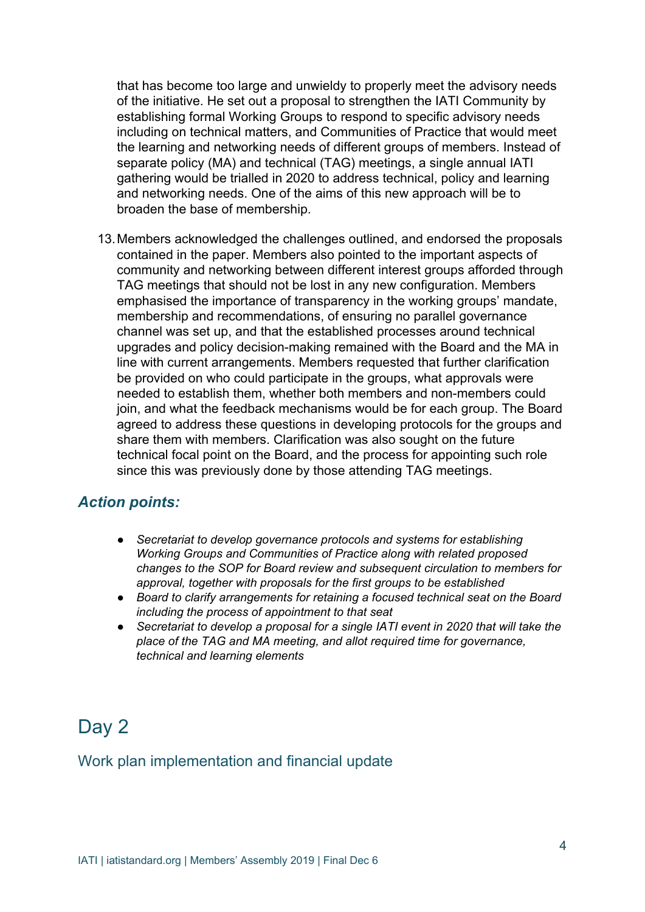that has become too large and unwieldy to properly meet the advisory needs of the initiative. He set out a proposal to strengthen the IATI Community by establishing formal Working Groups to respond to specific advisory needs including on technical matters, and Communities of Practice that would meet the learning and networking needs of different groups of members. Instead of separate policy (MA) and technical (TAG) meetings, a single annual IATI gathering would be trialled in 2020 to address technical, policy and learning and networking needs. One of the aims of this new approach will be to broaden the base of membership.

13.Members acknowledged the challenges outlined, and endorsed the proposals contained in the paper. Members also pointed to the important aspects of community and networking between different interest groups afforded through TAG meetings that should not be lost in any new configuration. Members emphasised the importance of transparency in the working groups' mandate, membership and recommendations, of ensuring no parallel governance channel was set up, and that the established processes around technical upgrades and policy decision-making remained with the Board and the MA in line with current arrangements. Members requested that further clarification be provided on who could participate in the groups, what approvals were needed to establish them, whether both members and non-members could join, and what the feedback mechanisms would be for each group. The Board agreed to address these questions in developing protocols for the groups and share them with members. Clarification was also sought on the future technical focal point on the Board, and the process for appointing such role since this was previously done by those attending TAG meetings.

#### *Action points:*

- *● Secretariat to develop governance protocols and systems for establishing Working Groups and Communities of Practice along with related proposed changes to the SOP for Board review and subsequent circulation to members for approval, together with proposals for the first groups to be established*
- *● Board to clarify arrangements for retaining a focused technical seat on the Board including the process of appointment to that seat*
- *● Secretariat to develop a proposal for a single IATI event in 2020 that will take the place of the TAG and MA meeting, and allot required time for governance, technical and learning elements*

# Day 2

## Work plan implementation and financial update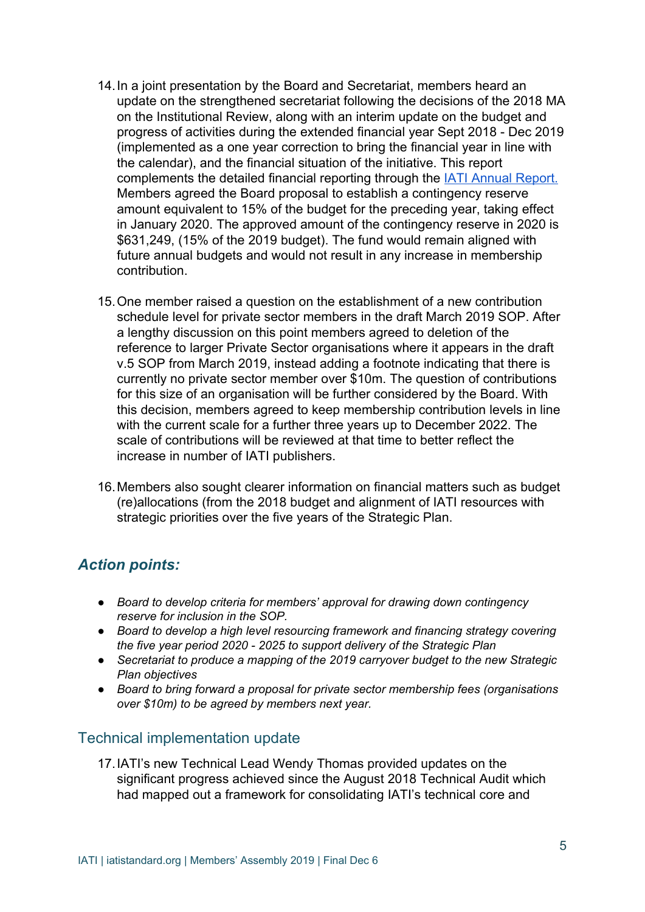- 14.In a joint presentation by the Board and Secretariat, members heard an update on the strengthened secretariat following the decisions of the 2018 MA on the Institutional Review, along with an interim update on the budget and progress of activities during the extended financial year Sept 2018 - Dec 2019 (implemented as a one year correction to bring the financial year in line with the calendar), and the financial situation of the initiative. This report complements the detailed financial reporting through the [IATI Annual Report.](https://iatistandard.org/en/about/governance/annual-reports/) Members agreed the Board proposal to establish a contingency reserve amount equivalent to 15% of the budget for the preceding year, taking effect in January 2020. The approved amount of the contingency reserve in 2020 is \$631,249, (15% of the 2019 budget). The fund would remain aligned with future annual budgets and would not result in any increase in membership contribution.
- 15.One member raised a question on the establishment of a new contribution schedule level for private sector members in the draft March 2019 SOP. After a lengthy discussion on this point members agreed to deletion of the reference to larger Private Sector organisations where it appears in the draft v.5 SOP from March 2019, instead adding a footnote indicating that there is currently no private sector member over \$10m. The question of contributions for this size of an organisation will be further considered by the Board. With this decision, members agreed to keep membership contribution levels in line with the current scale for a further three years up to December 2022. The scale of contributions will be reviewed at that time to better reflect the increase in number of IATI publishers.
- 16.Members also sought clearer information on financial matters such as budget (re)allocations (from the 2018 budget and alignment of IATI resources with strategic priorities over the five years of the Strategic Plan.

## *Action points:*

- *● Board to develop criteria for members' approval for drawing down contingency reserve for inclusion in the SOP.*
- *● Board to develop a high level resourcing framework and financing strategy covering the five year period 2020 - 2025 to support delivery of the Strategic Plan*
- *● Secretariat to produce a mapping of the 2019 carryover budget to the new Strategic Plan objectives*
- *● Board to bring forward a proposal for private sector membership fees (organisations over \$10m) to be agreed by members next year.*

## Technical implementation update

17.IATI's new Technical Lead Wendy Thomas provided updates on the significant progress achieved since the August 2018 Technical Audit which had mapped out a framework for consolidating IATI's technical core and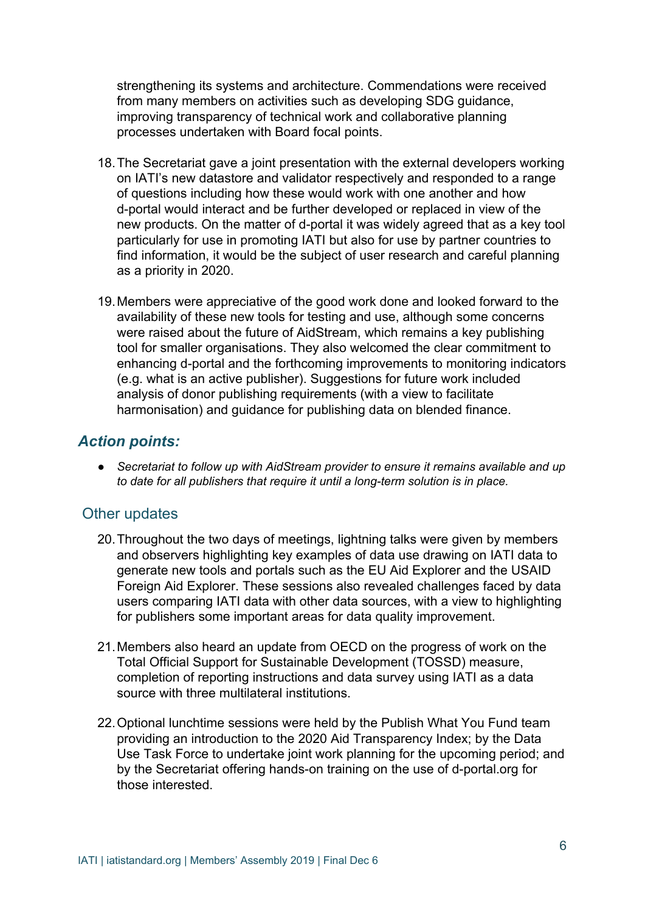strengthening its systems and architecture. Commendations were received from many members on activities such as developing SDG guidance, improving transparency of technical work and collaborative planning processes undertaken with Board focal points.

- 18.The Secretariat gave a joint presentation with the external developers working on IATI's new datastore and validator respectively and responded to a range of questions including how these would work with one another and how d-portal would interact and be further developed or replaced in view of the new products. On the matter of d-portal it was widely agreed that as a key tool particularly for use in promoting IATI but also for use by partner countries to find information, it would be the subject of user research and careful planning as a priority in 2020.
- 19.Members were appreciative of the good work done and looked forward to the availability of these new tools for testing and use, although some concerns were raised about the future of AidStream, which remains a key publishing tool for smaller organisations. They also welcomed the clear commitment to enhancing d-portal and the forthcoming improvements to monitoring indicators (e.g. what is an active publisher). Suggestions for future work included analysis of donor publishing requirements (with a view to facilitate harmonisation) and guidance for publishing data on blended finance.

## *Action points:*

*● Secretariat to follow up with AidStream provider to ensure it remains available and up to date for all publishers that require it until a long-term solution is in place.*

## Other updates

- 20.Throughout the two days of meetings, lightning talks were given by members and observers highlighting key examples of data use drawing on IATI data to generate new tools and portals such as the EU Aid Explorer and the USAID Foreign Aid Explorer. These sessions also revealed challenges faced by data users comparing IATI data with other data sources, with a view to highlighting for publishers some important areas for data quality improvement.
- 21.Members also heard an update from OECD on the progress of work on the Total Official Support for Sustainable Development (TOSSD) measure, completion of reporting instructions and data survey using IATI as a data source with three multilateral institutions.
- 22.Optional lunchtime sessions were held by the Publish What You Fund team providing an introduction to the 2020 Aid Transparency Index; by the Data Use Task Force to undertake joint work planning for the upcoming period; and by the Secretariat offering hands-on training on the use of d-portal.org for those interested.